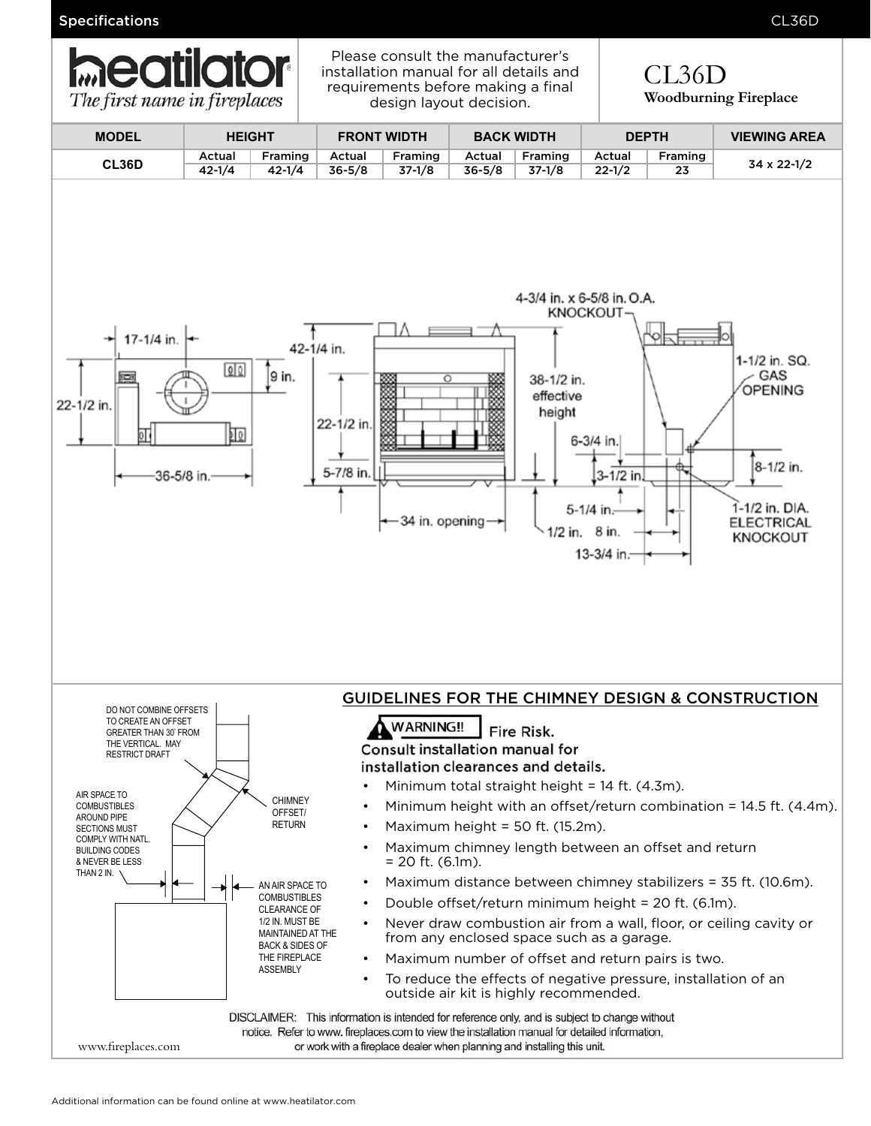Specifications CL36D



Please consult the manufacturer's installation manual for all details and requirements before making a final design layout decision.

 $CT<sub>3</sub>$ CL36D **Woodburning Fireplace**